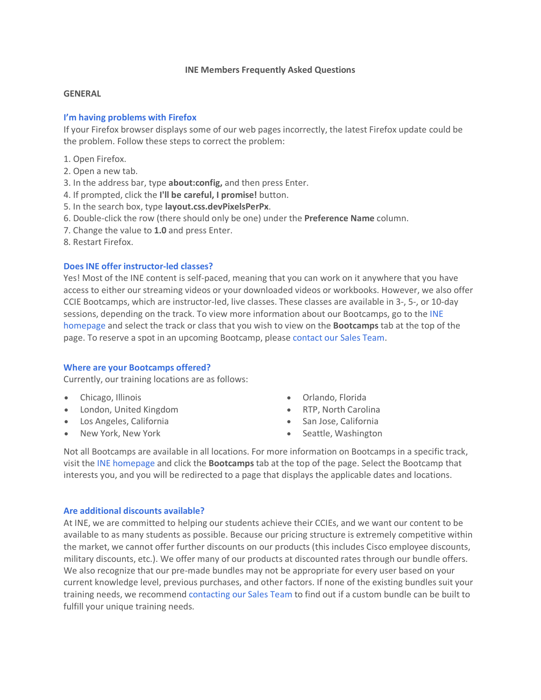## **INE Members Frequently Asked Questions**

## **GENERAL**

## **I'm having problems with [Firefox](https://members.ine.com/dash/page/faq/2/general%23bc3c0692d33444d9df8c121fdc8b3abd)**

If your Firefox browser displays some of our web pages incorrectly, the latest Firefox update could be the problem. Follow these steps to correct the problem:

- 1. Open Firefox.
- 2. Open a new tab.
- 3. In the address bar, type **about:config,** and then press Enter.
- 4. If prompted, click the **I'll be careful, I promise!** button.
- 5. In the search box, type **layout.css.devPixelsPerPx**.
- 6. Double-click the row (there should only be one) under the **Preference Name** column.
- 7. Change the value to **1.0** and press Enter.
- 8. Restart Firefox.

## **[Does INE offer instructor-led classes?](https://members.ine.com/dash/page/faq/2/general%231ff5abd7c4f9fd22fb7dd9c4bd0cf956)**

Yes! Most of the INE content is self-paced, meaning that you can work on it anywhere that you have access to either our streaming videos or your downloaded videos or workbooks. However, we also offer CCIE Bootcamps, which are instructor-led, live classes. These classes are available in 3-, 5-, or 10-day sessions, depending on the track. To view more information about our Bootcamps, go to the [INE](http://ine.com/)  [homepage](http://ine.com/) and select the track or class that you wish to view on the **Bootcamps** tab at the top of the page. To reserve a spot in an upcoming Bootcamp, please [contact our Sales Team.](mailto:sales@ine.com)

# **[Where are your Bootcamps offered?](https://members.ine.com/dash/page/faq/2/general%2385189c90d1c68dabf9c1de0ea958810c)**

Currently, our training locations are as follows:

- Chicago, Illinois
- London, United Kingdom
- Los Angeles, California
- New York, New York
- Orlando, Florida
- RTP, North Carolina
- San Jose, California
- Seattle, Washington

Not all Bootcamps are available in all locations. For more information on Bootcamps in a specific track, visit the [INE homepage](http://ine.com/) and click the **Bootcamps** tab at the top of the page. Select the Bootcamp that interests you, and you will be redirected to a page that displays the applicable dates and locations.

### **[Are additional discounts available?](https://members.ine.com/dash/page/faq/2/general%234da9d01d91b3b2e6ce3b5b5751864ac3)**

At INE, we are committed to helping our students achieve their CCIEs, and we want our content to be available to as many students as possible. Because our pricing structure is extremely competitive within the market, we cannot offer further discounts on our products (this includes Cisco employee discounts, military discounts, etc.). We offer many of our products at discounted rates through our bundle offers. We also recognize that our pre-made bundles may not be appropriate for every user based on your current knowledge level, previous purchases, and other factors. If none of the existing bundles suit your training needs, we recommend [contacting our Sales Team](mailto:sales@ine.com) to find out if a custom bundle can be built to fulfill your unique training needs.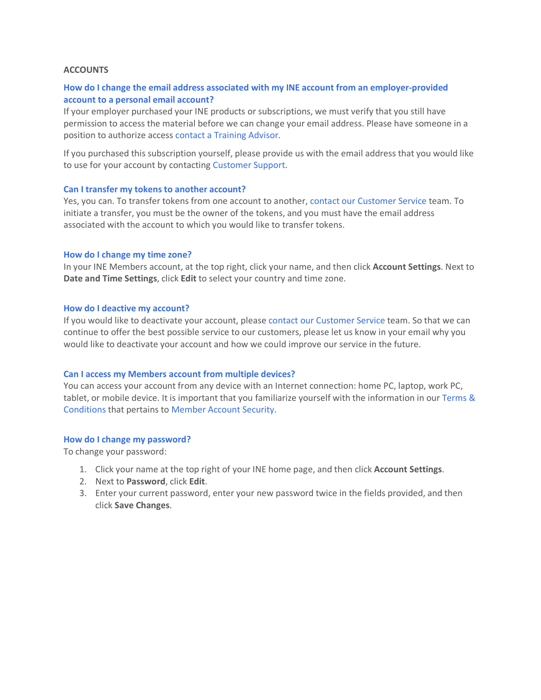## **ACCOUNTS**

# **How do I [change the email address associated with my INE account from an employer-provided](https://members.ine.com/dash/page/faq/5/accounts%23ca728586793041c8bbad8a533f3154bd)  [account to a personal email account?](https://members.ine.com/dash/page/faq/5/accounts%23ca728586793041c8bbad8a533f3154bd)**

If your employer purchased your INE products or subscriptions, we must verify that you still have permission to access the material before we can change your email address. Please have someone in a position to authorize access [contact a Training Advisor.](http://www.ine.com/contact.htm)

If you purchased this subscription yourself, please provide us with the email address that you would like to use for your account by contacting [Customer Support.](mailto:cs@ine.com)

### **[Can I transfer my tokens to another account?](https://members.ine.com/dash/page/faq/5/accounts%23d7932b984b0bd0773a5d31fa08a5f05c)**

Yes, you can. To transfer tokens from one account to another, [contact our Customer Service](mailto:cs@ine.com) team. To initiate a transfer, you must be the owner of the tokens, and you must have the email address associated with the account to which you would like to transfer tokens.

### **[How do I change my time zone?](https://members.ine.com/dash/page/faq/5/accounts%23104d81464413f68a07b61c4d19323bed)**

In your INE Members account, at the top right, click your name, and then click **Account Settings**. Next to **Date and Time Settings**, click **Edit** to select your country and time zone.

## **[How do I deactive my account?](https://members.ine.com/dash/page/faq/5/accounts%239709a3b5000803bd8fe4d8f80cca223d)**

If you would like to deactivate your account, please [contact our Customer Service](mailto:cs@ine.com) team. So that we can continue to offer the best possible service to our customers, please let us know in your email why you would like to deactivate your account and how we could improve our service in the future.

### **[Can I access my Members account from multiple devices?](https://members.ine.com/dash/page/faq/5/accounts%23f446368ee62f4c7023115627e2df2e2f)**

You can access your account from any device with an Internet connection: home PC, laptop, work PC, tablet, or mobile device. It is important that you familiarize yourself with the information in our [Terms &](http://www.ine.com/terms.htm)  [Conditions](http://www.ine.com/terms.htm) that pertains to [Member Account Security.](http://www.ine.com/terms.htm%232)

### **[How do I change my password?](https://members.ine.com/dash/page/faq/5/accounts%2392e5dda17ada01780f0d670390bcd106)**

To change your password:

- 1. Click your name at the top right of your INE home page, and then click **Account Settings**.
- 2. Next to **Password**, click **Edit**.
- 3. Enter your current password, enter your new password twice in the fields provided, and then click **Save Changes**.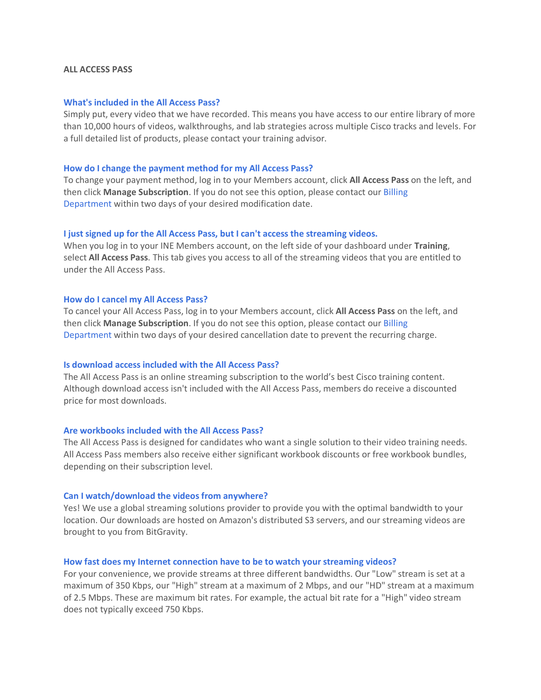### **ALL ACCESS PASS**

### **What's included in the All Access Pass?**

Simply put, every video that we have recorded. This means you have access to our entire library of more than 10,000 hours of videos, walkthroughs, and lab strategies across multiple Cisco tracks and levels. For a full detailed list of products, please contact your training advisor.

#### **How do I change the [payment method for my All Access Pass?](https://members.ine.com/dash/page/faq/4/all-access-pass%236a98889417e4403b44f75988c7b42544)**

To change your payment method, log in to your Members account, click **All Access Pass** on the left, and then click **Manage Subscription**. If you do not see this option, please contact our [Billing](mailto:billing@ine.com)  [Department](mailto:billing@ine.com) within two days of your desired modification date.

### **I just signed up for the All Access Pass, [but I can't access the streaming videos.](https://members.ine.com/dash/page/faq/4/all-access-pass%23f5a9e99f282536a6337d81ff83549c97)**

When you log in to your INE Members account, on the left side of your dashboard under **Training**, select **All Access Pass**. This tab gives you access to all of the streaming videos that you are entitled to under the All Access Pass.

### **[How do I cancel my All Access Pass?](https://members.ine.com/dash/page/faq/4/all-access-pass%23d6e7c3441a305b578e71e2095a0fc795)**

To cancel your All Access Pass, log in to your Members account, click **All Access Pass** on the left, and then click **Manage Subscription**. If you do not see this option, please contact our [Billing](mailto:billing@ine.com)  [Department](mailto:billing@ine.com) within two days of your desired cancellation date to prevent the recurring charge.

## **Is download access included with the All Access Pass?**

The All Access Pass is an online streaming subscription to the world's best Cisco training content. Although download access isn't included with the All Access Pass, members do receive a discounted price for most downloads.

### **Are workbooks included with the All Access Pass?**

The All Access Pass is designed for candidates who want a single solution to their video training needs. All Access Pass members also receive either significant workbook discounts or free workbook bundles, depending on their subscription level.

#### **Can I watch/download the videos from anywhere?**

Yes! We use a global streaming solutions provider to provide you with the optimal bandwidth to your location. Our downloads are hosted on Amazon's distributed S3 servers, and our streaming videos are brought to you from BitGravity.

#### **How fast does my Internet connection have to be to watch your streaming videos?**

For your convenience, we provide streams at three different bandwidths. Our "Low" stream is set at a maximum of 350 Kbps, our "High" stream at a maximum of 2 Mbps, and our "HD" stream at a maximum of 2.5 Mbps. These are maximum bit rates. For example, the actual bit rate for a "High" video stream does not typically exceed 750 Kbps.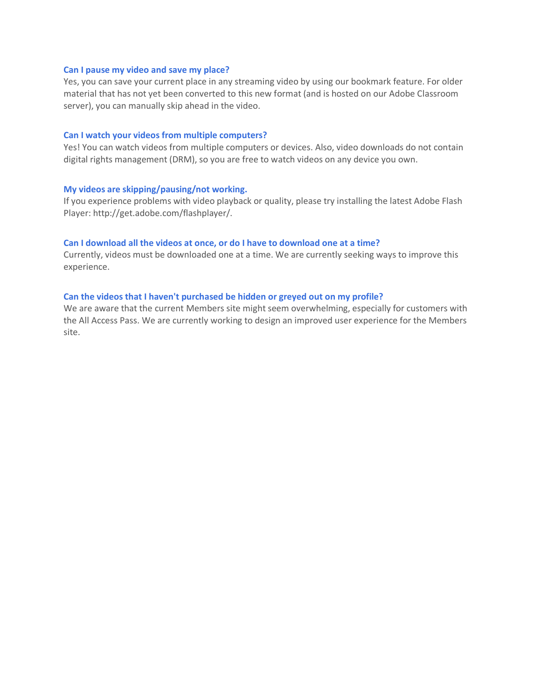#### **Can I pause my video and save my place?**

Yes, you can save your current place in any streaming video by using our bookmark feature. For older material that has not yet been converted to this new format (and is hosted on our Adobe Classroom server), you can manually skip ahead in the video.

#### **Can I watch your videos from multiple computers?**

Yes! You can watch videos from multiple computers or devices. Also, video downloads do not contain digital rights management (DRM), so you are free to watch videos on any device you own.

#### **My videos are skipping/pausing/not working.**

If you experience problems with video playback or quality, please try installing the latest Adobe Flash Player: http://get.adobe.com/flashplayer/.

### **Can I download all the videos at once, or do I have to download one at a time?**

Currently, videos must be downloaded one at a time. We are currently seeking ways to improve this experience.

#### **Can the videos that I haven't purchased be hidden or greyed out on my profile?**

We are aware that the current Members site might seem overwhelming, especially for customers with the All Access Pass. We are currently working to design an improved user experience for the Members site.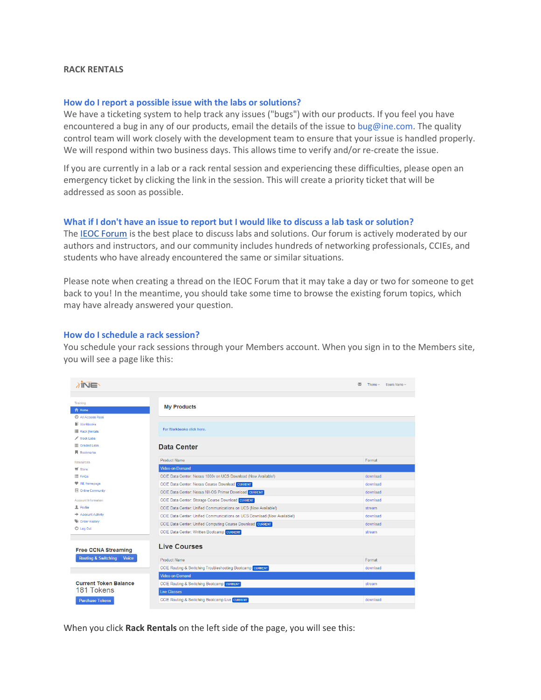## **RACK RENTALS**

#### **How do I [report a possible issue with the labs or solutions?](https://members.ine.com/dash/page/faq/1/rack-rental%2318abcfdab10d7007d13089a466a78175)**

We have a ticketing system to help track any issues ("bugs") with our products. If you feel you have encountered a bug in any of our products, email the details of the issue to [bug@ine.com.](mailto:bug@ine.com) The quality control team will work closely with the development team to ensure that your issue is handled properly. We will respond within two business days. This allows time to verify and/or re-create the issue.

If you are currently in a lab or a rack rental session and experiencing these difficulties, please open an emergency ticket by clicking the link in the session. This will create a priority ticket that will be addressed as soon as possible.

#### **[What if I don't have an issue to report but I would like to discuss a lab task or solution?](https://members.ine.com/dash/page/faq/1/rack-rental%23d49ec52f4d258325ab674479614b8761)**

The [IEOC Forum](http://ieoc.com/) is the best place to discuss labs and solutions. Our forum is actively moderated by our authors and instructors, and our community includes hundreds of networking professionals, CCIEs, and students who have already encountered the same or similar situations.

Please note when creating a thread on the IEOC Forum that it may take a day or two for someone to get back to you! In the meantime, you should take some time to browse the existing forum topics, which may have already answered your question.

## **[How do I schedule a rack session?](https://members.ine.com/dash/page/faq/1/rack-rental%2308ac3f02ad2b928e9c8dbfe7e7dd1327)**

You schedule your rack sessions through your Members account. When you sign in to the Members site, you will see a page like this:

| $\lambda$ INE                                  |                                                                           | M.<br>Theme $-$<br>Users Name - |
|------------------------------------------------|---------------------------------------------------------------------------|---------------------------------|
|                                                |                                                                           |                                 |
| Training<br><b>ft</b> Home                     | <b>My Products</b>                                                        |                                 |
| <b>C</b> All Access Pass                       |                                                                           |                                 |
| Workbooks                                      |                                                                           |                                 |
| <b>E</b> Rack Rentals                          | For Workbooks click here.                                                 |                                 |
| $M$ Mock Labs                                  |                                                                           |                                 |
| <b>III</b> Graded Labs                         | Data Center                                                               |                                 |
| <b>同</b> Bookmarks                             |                                                                           |                                 |
| <b>Resources</b>                               | <b>Product Name</b>                                                       | Format                          |
| $\equiv$ Store                                 | Video-on-Demand                                                           |                                 |
| E FAQs                                         | CCIE Data Center: Nexus 1000v on UCS Download (Now Available!)            | download                        |
| <b>W</b> INE Homepage                          | CCIE Data Center: Nexus Course Download CURRENT                           | download                        |
| <b>D</b> Online Community                      | CCIE Data Center: Nexus NX-OS Primer Download CURRENT                     | download                        |
| Account Information                            | CCIE Data Center: Storage Course Download CURRENT                         | download                        |
| <b>显</b> Profile                               | CCIE Data Center: Unified Communications on UCS (Now Available!)          | stream                          |
| Account Activity                               | CCIE Data Center: Unified Communications on UCS Download (Now Available!) | download                        |
| Order History                                  | CCIE Data Center: Unified Computing Course Download CURRENT               | download                        |
| O Log Out                                      | CCIE Data Center: Written Bootcamp CURRENT                                | stream                          |
| <b>Free CCNA Streaming</b>                     | <b>Live Courses</b>                                                       |                                 |
| <b>Routing &amp; Switching</b><br><b>Voice</b> | Product Name                                                              | Format                          |
|                                                | CCIE Routing & Switching Troubleshooting Bootcamp CURRENT                 | download                        |
|                                                | Video-on-Demand                                                           |                                 |
| <b>Current Token Balance</b>                   | CCIE Routing & Switching Bootcamp CURRENT                                 | stream                          |
| 181 Tokens                                     | <b>Live Classes</b>                                                       |                                 |
| <b>Purchase Tokens</b>                         | CCIE Routing & Switching Bootcamp Live CURRENT                            | download                        |
|                                                |                                                                           |                                 |

When you click **Rack Rentals** on the left side of the page, you will see this: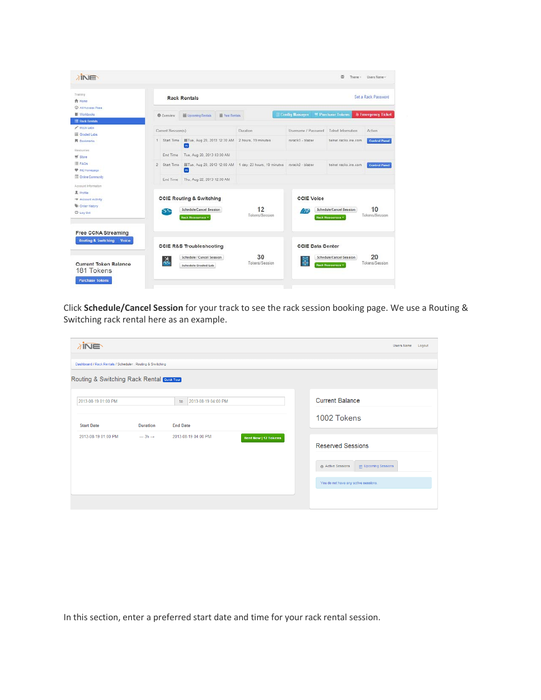

Click **Schedule/Cancel Session** for your track to see the rack session booking page. We use a Routing & Switching rack rental here as an example.

| <b>TINE</b>                                      |                                                            |                           |                             |  |                                                    |  |  |  |  |  |
|--------------------------------------------------|------------------------------------------------------------|---------------------------|-----------------------------|--|----------------------------------------------------|--|--|--|--|--|
|                                                  | Dashboard / Rack Rentals / Scheduler : Routing & Switching |                           |                             |  |                                                    |  |  |  |  |  |
| Routing & Switching Rack Rental <b>Cone Tour</b> |                                                            |                           |                             |  |                                                    |  |  |  |  |  |
| 2013-08-19 01:00 PM                              |                                                            | 2013-08-19 04:00 PM<br>to |                             |  | <b>Current Balance</b>                             |  |  |  |  |  |
| <b>Start Date</b>                                | <b>Duration</b>                                            | <b>End Date</b>           |                             |  | 1002 Tokens                                        |  |  |  |  |  |
|                                                  |                                                            |                           |                             |  |                                                    |  |  |  |  |  |
| 2013-08-19 01:00 PM                              | $-3h \rightarrow$                                          | 2013-08-19 04:00 PM       | <b>Rent Now   12 Tokens</b> |  | <b>Reserved Sessions</b>                           |  |  |  |  |  |
|                                                  |                                                            |                           |                             |  | Active Sessions<br><sup>22</sup> Upcoming Sessions |  |  |  |  |  |
|                                                  |                                                            |                           |                             |  | You do not have any active sessions.               |  |  |  |  |  |
|                                                  |                                                            |                           |                             |  |                                                    |  |  |  |  |  |
|                                                  |                                                            |                           |                             |  |                                                    |  |  |  |  |  |

In this section, enter a preferred start date and time for your rack rental session.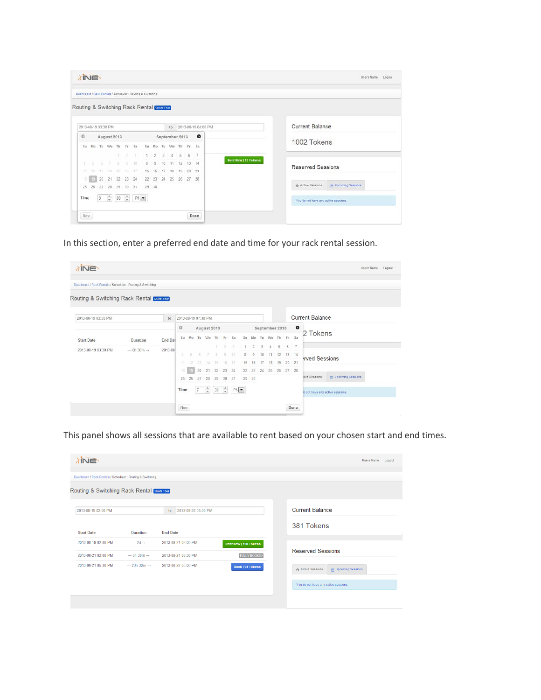| <b>TINE</b> |     |     |                     |       |      |                                                            |          |             |               |                      |      |       |                     | Users Name                                       | Logout |
|-------------|-----|-----|---------------------|-------|------|------------------------------------------------------------|----------|-------------|---------------|----------------------|------|-------|---------------------|--------------------------------------------------|--------|
|             |     |     |                     |       |      | Dashboard / Rack Rentals / Scheduler : Routing & Switching |          |             |               |                      |      |       |                     |                                                  |        |
|             |     |     |                     |       |      | Routing & Switching Rack Rental Colorado                   |          |             |               |                      |      |       |                     |                                                  |        |
|             |     |     | 2013-08-19 03:30 PM |       |      |                                                            |          |             |               | to.                  |      |       | 2013-08-19 04:00 PM | <b>Current Balance</b>                           |        |
| $\Omega$    |     |     | August 2013         |       |      |                                                            |          |             |               | September 2013       |      |       | $\bullet$           |                                                  |        |
| $S_{\rm H}$ | Mo  |     | Tu We Th            |       | - Fr | Sa                                                         | Str      | Mo          | Tu            | We Th                |      | Fr Sa |                     | 1002 Tokens                                      |        |
|             |     |     |                     | ×     | 19   | - 37                                                       | (1)      | 2           | $\frac{3}{3}$ | $\Delta$             | $-5$ | 6     | $\mathbb{Z}$        |                                                  |        |
|             |     |     | 57.                 | $-61$ | - 92 | $-10$                                                      | $\theta$ | 9           | 10            | 11 12                |      | 13:14 |                     | Rent Now   12 Tokens<br>Reserved Sessions        |        |
| 11          | 150 |     | 13 14 15 16 17      |       |      |                                                            |          | 15 16 17 18 |               |                      | 19   | 20:21 |                     |                                                  |        |
| 18          | 80  | 20. | 21 22 23 24         |       |      |                                                            |          |             |               | 22 23 24 25 26 27 28 |      |       |                     |                                                  |        |
| 26          |     |     | 26 27 28 29 30 31   |       |      |                                                            | 29 30    |             |               |                      |      |       |                     | @ Active Sessions<br><b>We Upcoming Sessions</b> |        |
| Time        |     | 3   | $\hat{\mathbb{Q}}$  |       |      | $30 - \frac{2}{\pi}$ PM                                    |          |             |               |                      |      |       |                     | You do not have any active sessions.             |        |
|             |     |     |                     |       |      |                                                            |          |             |               |                      |      |       |                     |                                                  |        |
|             |     |     |                     |       |      |                                                            |          |             |               |                      |      |       | Done                |                                                  |        |

In this section, enter a preferred end date and time for your rack rental session.

| Routing & Switching Rack Rental Cuirt Tour<br><b>Current Balance</b><br>2013-08-19 03:30 PM<br>2013-08-19 07:30 PM<br>to<br>$\bullet$<br>$\circ$<br>August 2013<br>September 2013<br>2 Tokens<br>Mo Tu We Th<br>Su<br>Sa<br>Su<br>Fr<br>Sa<br>Mo<br>We<br>Fr.<br>Th<br>Tu<br>End Dat<br><b>Start Date</b><br><b>Duration</b><br>6<br>5<br>$\overline{2}$<br>3<br>$\overline{7}$<br>2<br>-3<br>$\overline{4}$<br>2013-08<br>$-$ 0h 30m $\rightarrow$<br>70<br>8<br>10 11<br>12<br>13<br>8<br>$\overline{9}$<br>14<br>9<br>局<br>ĸ<br>泏<br>rved Sessions<br>20<br>21<br>16<br>16<br>19<br>17<br>15<br>17<br>$18^{\circ}$<br>11<br>15<br>14<br>12<br>13<br>20<br>21<br>22 23<br>24<br>22<br>24<br>23<br>18<br>25<br>26<br>19<br>27<br>28<br><b>MAN</b> Upcoming Sessions<br>tive Sessions<br>31<br>29<br>25<br>26<br>27<br>28<br>29<br>30<br>30<br>$\div$<br>$\left  \frac{1}{2} \right $<br>PM<br>Time<br>30 <sup>°</sup><br>$\overline{7}$<br>lo not have any active sessions. | Dashboard / Rack Rentals / Scheduler : Routing & Switching |  |  |  |  |  |  |  |  |  |  |
|------------------------------------------------------------------------------------------------------------------------------------------------------------------------------------------------------------------------------------------------------------------------------------------------------------------------------------------------------------------------------------------------------------------------------------------------------------------------------------------------------------------------------------------------------------------------------------------------------------------------------------------------------------------------------------------------------------------------------------------------------------------------------------------------------------------------------------------------------------------------------------------------------------------------------------------------------------------------------|------------------------------------------------------------|--|--|--|--|--|--|--|--|--|--|
|                                                                                                                                                                                                                                                                                                                                                                                                                                                                                                                                                                                                                                                                                                                                                                                                                                                                                                                                                                              |                                                            |  |  |  |  |  |  |  |  |  |  |
|                                                                                                                                                                                                                                                                                                                                                                                                                                                                                                                                                                                                                                                                                                                                                                                                                                                                                                                                                                              |                                                            |  |  |  |  |  |  |  |  |  |  |
| 2013-08-19 03:30 PM                                                                                                                                                                                                                                                                                                                                                                                                                                                                                                                                                                                                                                                                                                                                                                                                                                                                                                                                                          |                                                            |  |  |  |  |  |  |  |  |  |  |
|                                                                                                                                                                                                                                                                                                                                                                                                                                                                                                                                                                                                                                                                                                                                                                                                                                                                                                                                                                              |                                                            |  |  |  |  |  |  |  |  |  |  |
|                                                                                                                                                                                                                                                                                                                                                                                                                                                                                                                                                                                                                                                                                                                                                                                                                                                                                                                                                                              |                                                            |  |  |  |  |  |  |  |  |  |  |
|                                                                                                                                                                                                                                                                                                                                                                                                                                                                                                                                                                                                                                                                                                                                                                                                                                                                                                                                                                              |                                                            |  |  |  |  |  |  |  |  |  |  |
|                                                                                                                                                                                                                                                                                                                                                                                                                                                                                                                                                                                                                                                                                                                                                                                                                                                                                                                                                                              |                                                            |  |  |  |  |  |  |  |  |  |  |
|                                                                                                                                                                                                                                                                                                                                                                                                                                                                                                                                                                                                                                                                                                                                                                                                                                                                                                                                                                              |                                                            |  |  |  |  |  |  |  |  |  |  |
|                                                                                                                                                                                                                                                                                                                                                                                                                                                                                                                                                                                                                                                                                                                                                                                                                                                                                                                                                                              |                                                            |  |  |  |  |  |  |  |  |  |  |
|                                                                                                                                                                                                                                                                                                                                                                                                                                                                                                                                                                                                                                                                                                                                                                                                                                                                                                                                                                              |                                                            |  |  |  |  |  |  |  |  |  |  |

This panel shows all sessions that are available to rent based on your chosen start and end times.

| $\lambda$ INE                                              |                                            |                                            |                                                     |                                      | <b>Users Name</b>           | Logout |
|------------------------------------------------------------|--------------------------------------------|--------------------------------------------|-----------------------------------------------------|--------------------------------------|-----------------------------|--------|
| Dashboard / Rack Rentals / Scheduler : Routing & Switching |                                            |                                            |                                                     |                                      |                             |        |
| Routing & Switching Rack Rental Court Tour                 |                                            |                                            |                                                     |                                      |                             |        |
| 2013-08-19 02:00 PM                                        |                                            | 2013-08-22 05:00 PM<br>to                  |                                                     | <b>Current Balance</b>               |                             |        |
| <b>Start Date</b>                                          | <b>Duration</b>                            | <b>End Date</b>                            |                                                     | 381 Tokens                           |                             |        |
| 2013-08-19 02:00 PM<br>2013-08-21 02:00 PM                 | $-2d \rightarrow$<br>$-3h.30m \rightarrow$ | 2013-08-21 02:00 PM<br>2013-08-21 05:30 PM | <b>Rent Now   190 Tokens</b><br><b>FULLY BOOKED</b> | <b>Reserved Sessions</b>             |                             |        |
| 2013-08-21 05:30 PM                                        | $-23h.30m \rightarrow$                     | 2013-08-22 05:00 PM                        | <b>Book   94 Tokens</b>                             | Active Sessions                      | <b>MM</b> Upcoming Sessions |        |
|                                                            |                                            |                                            |                                                     | You do not have any active sessions. |                             |        |
|                                                            |                                            |                                            |                                                     |                                      |                             |        |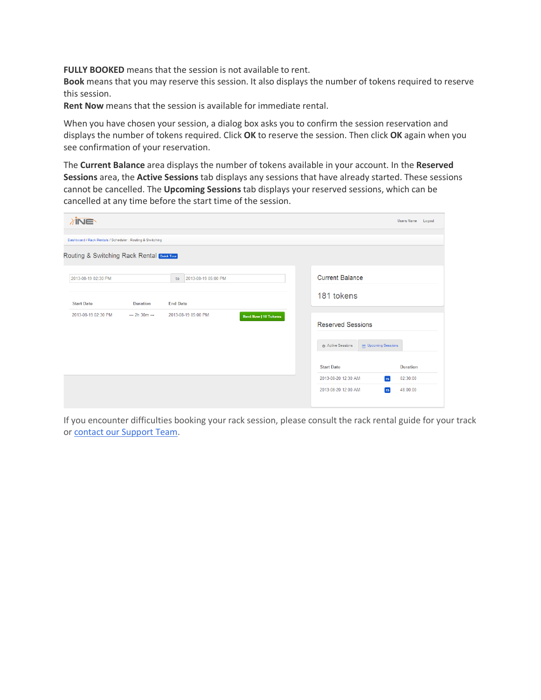**FULLY BOOKED** means that the session is not available to rent.

**Book** means that you may reserve this session. It also displays the number of tokens required to reserve this session.

**Rent Now** means that the session is available for immediate rental.

When you have chosen your session, a dialog box asks you to confirm the session reservation and displays the number of tokens required. Click **OK** to reserve the session. Then click **OK** again when you see confirmation of your reservation.

The **Current Balance** area displays the number of tokens available in your account. In the **Reserved Sessions** area, the **Active Sessions** tab displays any sessions that have already started. These sessions cannot be cancelled. The **Upcoming Sessions** tab displays your reserved sessions, which can be cancelled at any time before the start time of the session.

| <i><b>TINE</b></i>                                         |                         |                           |                             |                          |                             | Users Name      | Logout |
|------------------------------------------------------------|-------------------------|---------------------------|-----------------------------|--------------------------|-----------------------------|-----------------|--------|
| Dashboard / Rack Rentals / Scheduler : Routing & Switching |                         |                           |                             |                          |                             |                 |        |
| Routing & Switching Rack Rental <b>Cuid Tour</b>           |                         |                           |                             |                          |                             |                 |        |
| 2013-08-19 02:30 PM                                        |                         | 2013-08-19 05:00 PM<br>to |                             | <b>Current Balance</b>   |                             |                 |        |
| <b>Start Date</b>                                          | <b>Duration</b>         | <b>End Date</b>           |                             | 181 tokens               |                             |                 |        |
| 2013-08-19 02:30 PM                                        | $-2h$ 30m $\rightarrow$ | 2013-08-19 05:00 PM       | <b>Rent Now   10 Tokens</b> | <b>Reserved Sessions</b> |                             |                 |        |
|                                                            |                         |                           |                             | @ Active Sessions        | <b>MR</b> Upcoming Sessions |                 |        |
|                                                            |                         |                           |                             | <b>Start Date</b>        |                             | <b>Duration</b> |        |
|                                                            |                         |                           |                             | 2013-08-20 12:30 AM      | rs                          | 02:30:00        |        |
|                                                            |                         |                           |                             | 2013-08-20 12:00 AM      | <b>rs</b>                   | 48:00:00        |        |

If you encounter difficulties booking your rack session, please consult the rack rental guide for your track or [contact our Support Team.](mailto:support@ine.com)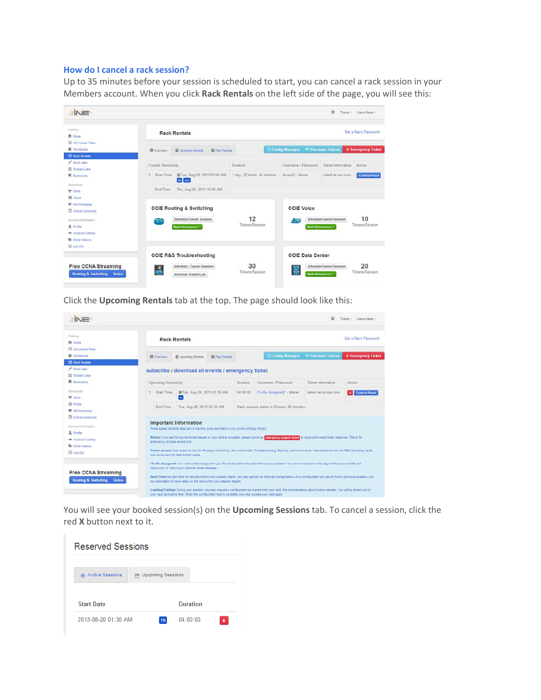# **[How do I cancel a rack session?](https://members.ine.com/dash/page/faq/1/rack-rental%2357c035eae1880eea9fe53a2a2740acb0)**

Up to 35 minutes before your session is scheduled to start, you can cancel a rack session in your Members account. When you click **Rack Rentals** on the left side of the page, you will see this:

| <b>INE</b>                                                                   |                     |                                                                |                          |                             |                                                    | 器                                           | Theme -<br>Users Name -       |  |
|------------------------------------------------------------------------------|---------------------|----------------------------------------------------------------|--------------------------|-----------------------------|----------------------------------------------------|---------------------------------------------|-------------------------------|--|
| Training<br><b>青 Home</b>                                                    |                     | <b>Rack Rentals</b>                                            |                          |                             |                                                    |                                             | Set a Rack Password           |  |
| C All Access Pass<br>Workbooks                                               | <b>O</b> Overview   | <b>■ Upcoming Rentals</b>                                      | <b>Bill</b> Past Rentals |                             | <b>Config Manager</b>                              | <sup>=</sup> Purchase Tokens                | <b>&amp; Emergency Ticket</b> |  |
| <b>IE</b> Rack Rentals                                                       |                     |                                                                |                          |                             |                                                    |                                             |                               |  |
| / Mock Labs                                                                  | Current Session(s)  |                                                                |                          | Duration                    | Username / Password                                | Telnet Information                          | Action                        |  |
| <b>III</b> Graded Labs<br><b>同</b> Bookmarks                                 | Start Time<br>1     | Tue, Aug 20, 2013 01:00 AM<br>dc ucs                           |                          | 1 day, 22 hours, 34 minutes | dcrack2 - blazer                                   | telnet dc ine com                           | <b>Control Panel</b>          |  |
| Resources<br>of Store                                                        | End Time            | Thu, Aug 22, 2013 12:00 AM                                     |                          |                             |                                                    |                                             |                               |  |
| 图 FAOs<br><b>W</b> NE Homepage<br><b>D</b> Online Community                  |                     | <b>CCIE Routing &amp; Switching</b><br>Schedule/Cancel Session |                          | 12                          | <b>CCIE Voice</b><br>10<br>Schedule/Cancel Session |                                             |                               |  |
| Account Information<br><b>2</b> Profile<br><b>+</b> Account Activity         | œ                   | <b>Rack Resources *</b>                                        |                          | Tokens/Session              | <b>Artist</b>                                      | Rack Resources =                            | Tokens/Session                |  |
| <b>W</b> Order History<br>C Log Out                                          |                     |                                                                |                          |                             |                                                    |                                             |                               |  |
|                                                                              |                     | <b>CCIE R&amp;S Troubleshooting</b>                            |                          |                             |                                                    | <b>CCIE Data Center</b>                     |                               |  |
| <b>Free CCNA Streaming</b><br><b>Routing &amp; Switching</b><br><b>Voice</b> | $\frac{\times}{25}$ | Schedule / Cancel Session<br>Schedule Graded Lab               |                          | 30<br>Tokens/Session        | 躁                                                  | Schedule/Cancel Session<br>Rack Resources = | 20<br>Tokens/Session          |  |

Click the **Upcoming Rentals** tab at the top. The page should look like this:

| Training                   |                               |                                                                                             |                       |          |                                                                                                                                                                       |                              | Set a Rack Password    |
|----------------------------|-------------------------------|---------------------------------------------------------------------------------------------|-----------------------|----------|-----------------------------------------------------------------------------------------------------------------------------------------------------------------------|------------------------------|------------------------|
| <b>Pt</b> Home             |                               | <b>Rack Rentals</b>                                                                         |                       |          |                                                                                                                                                                       |                              |                        |
| <b>C All Anness Pass</b>   |                               |                                                                                             |                       |          |                                                                                                                                                                       |                              |                        |
| Workbooks                  | <b>O</b> Overview             | Upcoming Rentals                                                                            | <b>B</b> Past Rentals |          | <b>Config Manager</b>                                                                                                                                                 | <sup>#</sup> Purchase Tokens | & Emergency Ticket     |
| <b>IE Rack Rentals</b>     |                               |                                                                                             |                       |          |                                                                                                                                                                       |                              |                        |
| $J$ Mock Labs              |                               | subscribe / download all events / emergency ticket                                          |                       |          |                                                                                                                                                                       |                              |                        |
| III. Graded Labs           |                               |                                                                                             |                       |          |                                                                                                                                                                       |                              |                        |
| <b>R</b> Bookmarks         | Upcoming Session(s)           |                                                                                             |                       | Duration | Usemame / Password                                                                                                                                                    | Telnet Information           | Action                 |
| Resources                  | Start Time                    | ■Tue, Aug 20, 2013 01:30 AM                                                                 |                       | 04:00:00 | [To Be Assigned]" - blazer                                                                                                                                            | telnet racks ine com         | <b>x</b> Control Panel |
| <b>可</b> Store             |                               | rs.                                                                                         |                       |          |                                                                                                                                                                       |                              |                        |
| <b>III</b> FAOs            | End Time                      | Tue, Aug 20, 2013 05:30 AM                                                                  |                       |          | Rack session starts in 2 hours. 22 minutes.                                                                                                                           |                              |                        |
| <b>W</b> Inc Homepage      |                               |                                                                                             |                       |          |                                                                                                                                                                       |                              |                        |
| <b>B</b> Online Community  |                               |                                                                                             |                       |          |                                                                                                                                                                       |                              |                        |
| Account Information        |                               | <b>Important Information</b>                                                                |                       |          |                                                                                                                                                                       |                              |                        |
| 显 Profile                  |                               | Time zone: All tems listed are in the time zone specified in your profile settings (Minsk). |                       |          |                                                                                                                                                                       |                              |                        |
| Account Activity           |                               |                                                                                             |                       |          | Notice: if you are having hardware issues or your rack is unusable, please submit an emergency support licked to receive the most timely response. This is for        |                              |                        |
| <b>W.</b> Order History    | emergency access issues only. |                                                                                             |                       |          |                                                                                                                                                                       |                              |                        |
| C Log Cut                  |                               | Use do ine com for Data Center racks.                                                       |                       |          | Telnet access: Use racks ine com for Routing & Switching, Service Provider, Troubleshooting, Security, and Voice racks, Use racks2 ine com for R&S Bootcamp racks.    |                              |                        |
|                            |                               | password, or check your reminder email message.                                             |                       |          | *To Be Assigned: Your rack will be assigned to you 30 minutes before the start time of your session. You can come back to this page to find your rack D and           |                              |                        |
| <b>Free CCNA Streaming</b> |                               |                                                                                             |                       |          | Rack Time: No later than 45 minutes before your session starts, you may specify an initial lab configuration-ar a configuration you saved from a previous session-for |                              |                        |
|                            |                               |                                                                                             |                       |          |                                                                                                                                                                       |                              |                        |

You will see your booked session(s) on the **Upcoming Sessions** tab. To cancel a session, click the red **X** button next to it.

| <b>Reserved Sessions</b> |                          |
|--------------------------|--------------------------|
| Active Sessions          | <b>Upcoming Sessions</b> |
| <b>Start Date</b>        | Duration                 |
| 2013-08-20 01:30 AM      | $04.00 - 00$<br>TS<br>x  |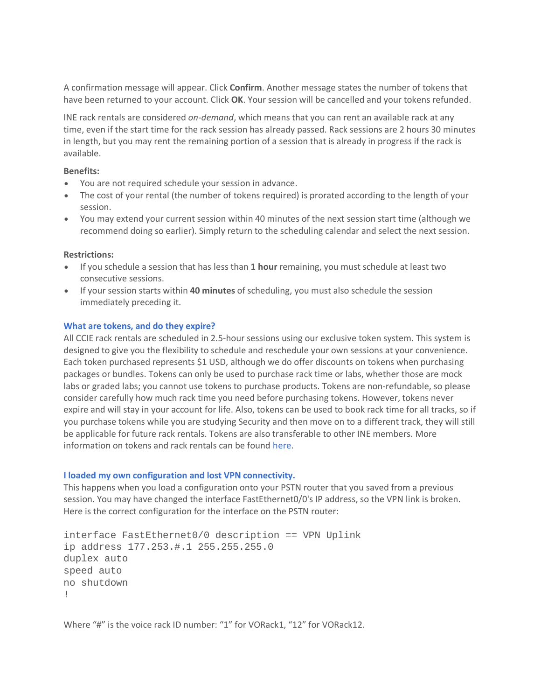A confirmation message will appear. Click **Confirm**. Another message states the number of tokens that have been returned to your account. Click **OK**. Your session will be cancelled and your tokens refunded.

INE rack rentals are considered *on-demand*, which means that you can rent an available rack at any time, even if the start time for the rack session has already passed. Rack sessions are 2 hours 30 minutes in length, but you may rent the remaining portion of a session that is already in progress if the rack is available.

## **Benefits:**

- You are not required schedule your session in advance.
- The cost of your rental (the number of tokens required) is prorated according to the length of your session.
- You may extend your current session within 40 minutes of the next session start time (although we recommend doing so earlier). Simply return to the scheduling calendar and select the next session.

## **Restrictions:**

- If you schedule a session that has less than **1 hour** remaining, you must schedule at least two consecutive sessions.
- If your session starts within **40 minutes** of scheduling, you must also schedule the session immediately preceding it.

## **[What are tokens, and do they expire?](https://members.ine.com/dash/page/faq/1/rack-rental%23c14c286f74e1603a03bc64847adbc98e)**

All CCIE rack rentals are scheduled in 2.5-hour sessions using our exclusive token system. This system is designed to give you the flexibility to schedule and reschedule your own sessions at your convenience. Each token purchased represents \$1 USD, although we do offer discounts on tokens when purchasing packages or bundles. Tokens can only be used to purchase rack time or labs, whether those are mock labs or graded labs; you cannot use tokens to purchase products. Tokens are non-refundable, so please consider carefully how much rack time you need before purchasing tokens. However, tokens never expire and will stay in your account for life. Also, tokens can be used to book rack time for all tracks, so if you purchase tokens while you are studying Security and then move on to a different track, they will still be applicable for future rack rentals. Tokens are also transferable to other INE members. More information on tokens and rack rentals can be found [here.](http://www.ine.com/rack-rental-tokens.htm)

### **[I loaded my own configuration and lost VPN connectivity.](https://members.ine.com/dash/page/faq/1/rack-rental%2300d407d50f6c913c213c2a243c8f566d)**

This happens when you load a configuration onto your PSTN router that you saved from a previous session. You may have changed the interface FastEthernet0/0's IP address, so the VPN link is broken. Here is the correct configuration for the interface on the PSTN router:

interface FastEthernet0/0 description == VPN Uplink ip address 177.253.#.1 255.255.255.0 duplex auto speed auto no shutdown !

Where "#" is the voice rack ID number: "1" for VORack1, "12" for VORack12.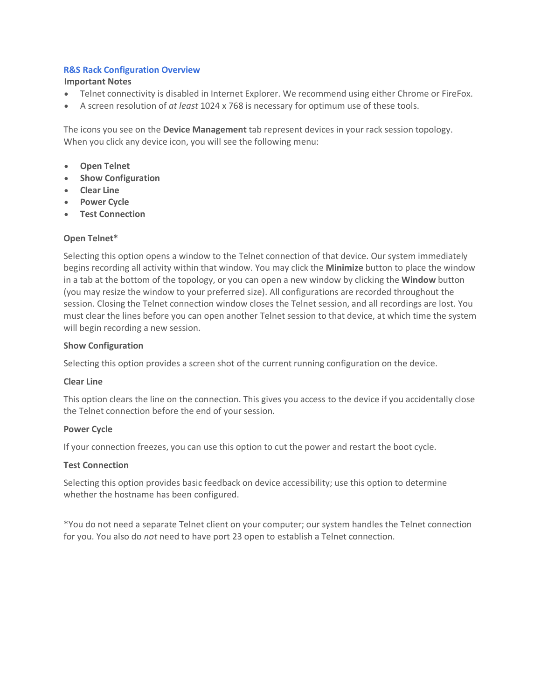## **[R&S Rack Configuration Overview](https://members.ine.com/dash/page/faq/1/rack-rental%2394466bc4dcb91dbff3e103d5b7122c2c)**

## **Important Notes**

- Telnet connectivity is disabled in Internet Explorer. We recommend using either Chrome or FireFox.
- A screen resolution of *at least* 1024 x 768 is necessary for optimum use of these tools.

The icons you see on the **Device Management** tab represent devices in your rack session topology. When you click any device icon, you will see the following menu:

- **Open Telnet**
- **Show Configuration**
- **Clear Line**
- **Power Cycle**
- **Test Connection**

## **Open Telnet\***

Selecting this option opens a window to the Telnet connection of that device. Our system immediately begins recording all activity within that window. You may click the **Minimize** button to place the window in a tab at the bottom of the topology, or you can open a new window by clicking the **Window** button (you may resize the window to your preferred size). All configurations are recorded throughout the session. Closing the Telnet connection window closes the Telnet session, and all recordings are lost. You must clear the lines before you can open another Telnet session to that device, at which time the system will begin recording a new session.

## **Show Configuration**

Selecting this option provides a screen shot of the current running configuration on the device.

### **Clear Line**

This option clears the line on the connection. This gives you access to the device if you accidentally close the Telnet connection before the end of your session.

### **Power Cycle**

If your connection freezes, you can use this option to cut the power and restart the boot cycle.

### **Test Connection**

Selecting this option provides basic feedback on device accessibility; use this option to determine whether the hostname has been configured.

\*You do not need a separate Telnet client on your computer; our system handles the Telnet connection for you. You also do *not* need to have port 23 open to establish a Telnet connection.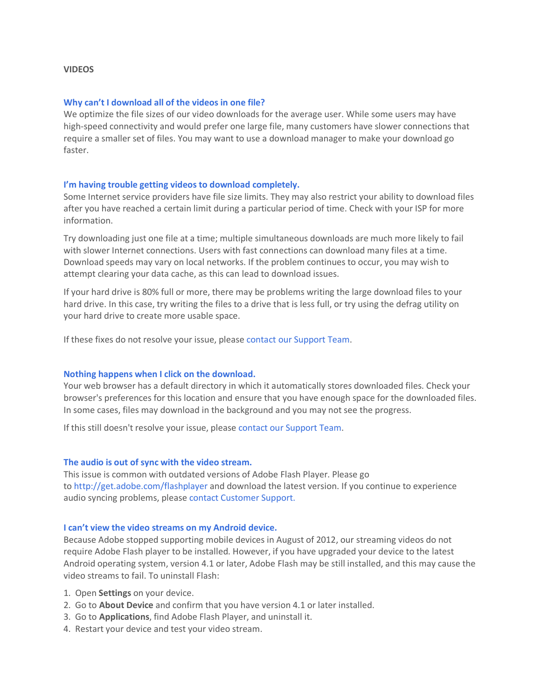### **VIDEOS**

#### **[Why can't I download all of the videos in one file?](https://members.ine.com/dash/page/faq/6/videos%2331096c978d8e123a6d374529c06f229d)**

We optimize the file sizes of our video downloads for the average user. While some users may have high-speed connectivity and would prefer one large file, many customers have slower connections that require a smaller set of files. You may want to use a download manager to make your download go faster.

#### **[I'm having trouble getting videos to download completely.](https://members.ine.com/dash/page/faq/6/videos%2342b423d4026e32d9474028e74474fcc1)**

Some Internet service providers have file size limits. They may also restrict your ability to download files after you have reached a certain limit during a particular period of time. Check with your ISP for more information.

Try downloading just one file at a time; multiple simultaneous downloads are much more likely to fail with slower Internet connections. Users with fast connections can download many files at a time. Download speeds may vary on local networks. If the problem continues to occur, you may wish to attempt clearing your data cache, as this can lead to download issues.

If your hard drive is 80% full or more, there may be problems writing the large download files to your hard drive. In this case, try writing the files to a drive that is less full, or try using the defrag utility on your hard drive to create more usable space.

If these fixes do not resolve your issue, please [contact our Support Team.](mailto:support@ine.com)

#### **[Nothing happens when I click on the download.](https://members.ine.com/dash/page/faq/6/videos%23d9b810d5d472246969a0eaafdf3cbbf7)**

Your web browser has a default directory in which it automatically stores downloaded files. Check your browser's preferences for this location and ensure that you have enough space for the downloaded files. In some cases, files may download in the background and you may not see the progress.

If this still doesn't resolve your issue, please [contact our Support Team.](mailto:support@ine.com)

#### **[The audio is out of sync with the video stream.](https://members.ine.com/dash/page/faq/6/videos%233c46f4a616d88a20928b0ab2ffe14142)**

This issue is common with outdated versions of Adobe Flash Player. Please go to [http://get.adobe.com/flashplayer](https://members.ine.com/dash/page/faq/6/This%20issue%20is%20common%20with%20outdated%20versions%20of%20Adobe%20Flash%20Player.%20Please%20go%20to%20http:/get.adobe.com/flashplayer%20and%20download%20the%20latest%20version.%20If%20you%20continue%20to%20experience%20audio%20syncing%20problems,%20please%20contact%20INE%20support.) and download the latest version. If you continue to experience audio syncing problems, please [contact Customer Support.](mailto:support@ine.com)

#### **[I can't view the video streams on my Android device.](https://members.ine.com/dash/page/faq/6/videos%23f6f2871bff1ad328ccd66154660f0e17)**

Because Adobe stopped supporting mobile devices in August of 2012, our streaming videos do not require Adobe Flash player to be installed. However, if you have upgraded your device to the latest Android operating system, version 4.1 or later, Adobe Flash may be still installed, and this may cause the video streams to fail. To uninstall Flash:

- 1. Open **Settings** on your device.
- 2. Go to **About Device** and confirm that you have version 4.1 or later installed.
- 3. Go to **Applications**, find Adobe Flash Player, and uninstall it.
- 4. Restart your device and test your video stream.